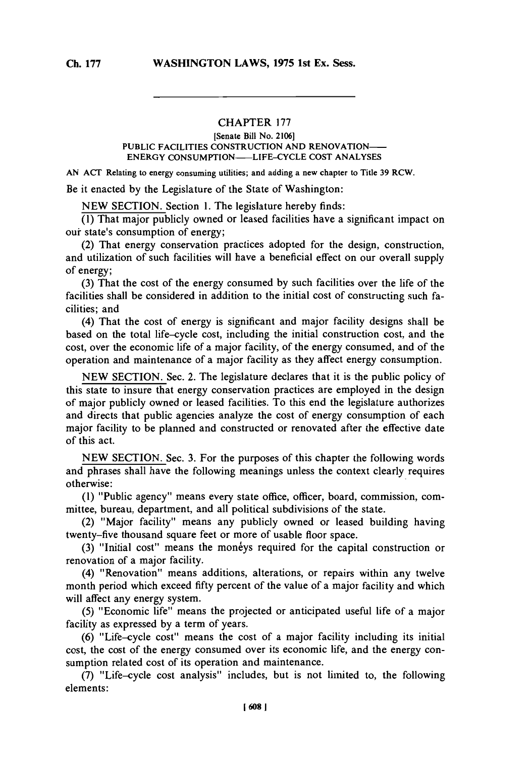## CHAPTER **<sup>177</sup>**

## **[Senate Bill No. 2106] PUBLIC FACILITIES CONSTRUCTION AND RENOVATION-ENERGY CONSUMPTION-LIFE-CYCLE COST ANALYSES**

**AN ACT Relating to energy consuming utilities; and adding a new chapter to Title 39 RCW.**

Be it enacted **by** the Legislature of the State of Washington:

**NEW SECTION.** Section **1.** The legislature hereby finds:

**(1)** That major publicly owned or leased facilities have a significant impact on our state's consumption of energy;

(2) That energy conservation practices adopted for the design, construction, and utilization of such facilities will have a beneficial effect on our overall supply of energy;

**(3)** That the cost of the energy consumed **by** such facilities over the life of the facilities shall be considered in addition to the initial cost of constructing such facilities; and

(4) That the cost of energy is significant and major facility designs shall be based on the total life-cycle cost, including the initial construction cost, and the cost, over the economic life of a major facility, of the energy consumed, and of the operation and maintenance of a major facility as they affect energy consumption.

**NEW** SECTION. Sec. 2. The legislature declares that it is the public policy of this state to insure that energy conservation practices are employed in the design of major publicly owned or leased facilities. To this end the legislature authorizes and directs that public agencies analyze the cost of energy consumption of each major facility to be planned and constructed or renovated after the effective date of this act.

**NEW SECTION.** Sec. **3.** For the purposes of this chapter the following words and phrases shall have the following meanings unless the context clearly requires otherwise:

**(1)** "Public agency" means every state office, officer, board, commission, committee, bureau, department, and all political subdivisions of the state.

(2) "Major facility" means any publicly owned or leased building having twenty-five thousand square feet or more of usable floor space.

**(3)** "Initial cost" means the moneys required for the capital construction or renovation of a major facility.

(4) "Renovation" means additions, alterations, or repairs within any twelve month period which exceed fifty percent of the value of a major facility and which will affect any energy system.

**(5)** "Economic life" means the projected or anticipated useful life of a major facility as expressed **by** a term of years.

**(6)** "Life-cycle cost" means the cost of a major facility including its initial cost, the cost of the energy consumed over its economic life, and the energy consumption related cost of its operation and maintenance.

**(7)** "Life-cycle cost analysis" includes, but is not limited to, the following elements: